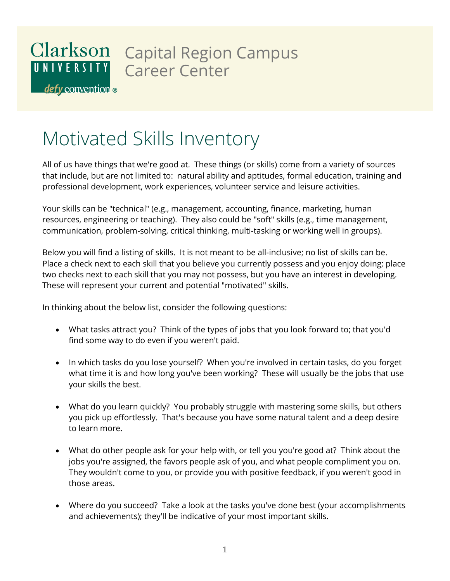#### Clarkson Capital Region Campus UNIVERSITY Career Center

defy convention

# Motivated Skills Inventory

All of us have things that we're good at. These things (or skills) come from a variety of sources that include, but are not limited to: natural ability and aptitudes, formal education, training and professional development, work experiences, volunteer service and leisure activities.

Your skills can be "technical" (e.g., management, accounting, finance, marketing, human resources, engineering or teaching). They also could be "soft" skills (e.g., time management, communication, problem-solving, critical thinking, multi-tasking or working well in groups).

Below you will find a listing of skills. It is not meant to be all-inclusive; no list of skills can be. Place a check next to each skill that you believe you currently possess and you enjoy doing; place two checks next to each skill that you may not possess, but you have an interest in developing. These will represent your current and potential "motivated" skills.

In thinking about the below list, consider the following questions:

- What tasks attract you? Think of the types of jobs that you look forward to; that you'd find some way to do even if you weren't paid.
- In which tasks do you lose yourself? When you're involved in certain tasks, do you forget what time it is and how long you've been working? These will usually be the jobs that use your skills the best.
- What do you learn quickly? You probably struggle with mastering some skills, but others you pick up effortlessly. That's because you have some natural talent and a deep desire to learn more.
- What do other people ask for your help with, or tell you you're good at? Think about the jobs you're assigned, the favors people ask of you, and what people compliment you on. They wouldn't come to you, or provide you with positive feedback, if you weren't good in those areas.
- Where do you succeed? Take a look at the tasks you've done best (your accomplishments and achievements); they'll be indicative of your most important skills.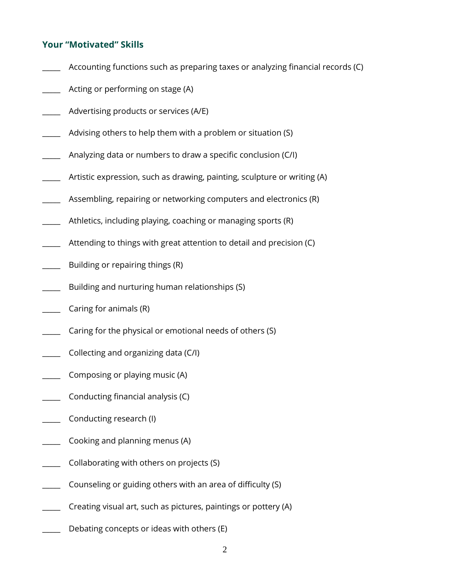#### **Your "Motivated" Skills**

- Accounting functions such as preparing taxes or analyzing financial records (C)
- Acting or performing on stage (A)
- Advertising products or services (A/E)
- Advising others to help them with a problem or situation (S)
- Analyzing data or numbers to draw a specific conclusion (C/I)
- Artistic expression, such as drawing, painting, sculpture or writing (A)
- Assembling, repairing or networking computers and electronics (R)
- Athletics, including playing, coaching or managing sports (R)
- Attending to things with great attention to detail and precision (C)
- Building or repairing things (R)
- Building and nurturing human relationships (S)
- Caring for animals (R)
- Caring for the physical or emotional needs of others (S)
- \_\_\_\_\_ Collecting and organizing data (C/I)
- Composing or playing music (A)
- Conducting financial analysis (C)
- Conducting research (I)
- Cooking and planning menus (A)
- Collaborating with others on projects (S)
- Counseling or guiding others with an area of difficulty (S)
- Creating visual art, such as pictures, paintings or pottery (A)
- Debating concepts or ideas with others (E)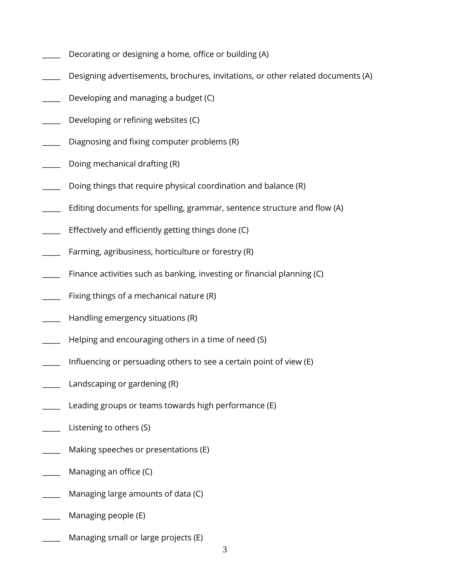- Decorating or designing a home, office or building (A)
- Designing advertisements, brochures, invitations, or other related documents (A)
- Developing and managing a budget (C)
- Developing or refining websites (C)
- Diagnosing and fixing computer problems (R)
- Doing mechanical drafting (R)
- Doing things that require physical coordination and balance (R)
- Editing documents for spelling, grammar, sentence structure and flow (A)
- Effectively and efficiently getting things done (C)
- Farming, agribusiness, horticulture or forestry (R)
- Finance activities such as banking, investing or financial planning (C)
- Fixing things of a mechanical nature (R)
- Handling emergency situations (R)
- Helping and encouraging others in a time of need (S)
- Influencing or persuading others to see a certain point of view (E)
- Landscaping or gardening (R)
- Leading groups or teams towards high performance (E)
- Listening to others (S)
- Making speeches or presentations (E)
- Managing an office (C)
- Managing large amounts of data (C)
- Managing people (E)
- Managing small or large projects (E)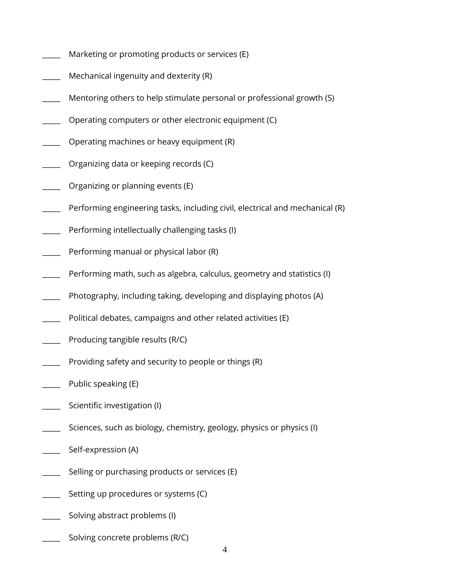- Marketing or promoting products or services (E)
- Mechanical ingenuity and dexterity (R)
- Mentoring others to help stimulate personal or professional growth (S)
- Operating computers or other electronic equipment (C)
- Operating machines or heavy equipment (R)
- Organizing data or keeping records (C)
- Organizing or planning events (E)
- Performing engineering tasks, including civil, electrical and mechanical (R)
- Performing intellectually challenging tasks (I)
- Performing manual or physical labor (R)
- Performing math, such as algebra, calculus, geometry and statistics (I)
- Photography, including taking, developing and displaying photos (A)
- Political debates, campaigns and other related activities (E)
- Producing tangible results (R/C)
- Providing safety and security to people or things (R)
- Public speaking (E)
- Scientific investigation (I)
- Sciences, such as biology, chemistry, geology, physics or physics (I)
- Self-expression (A)
- Selling or purchasing products or services (E)
- Setting up procedures or systems (C)
- Solving abstract problems (I)
- Solving concrete problems (R/C)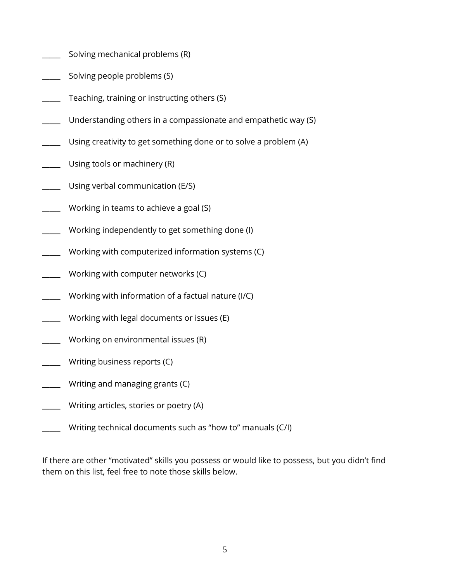- Solving mechanical problems (R)
- Solving people problems (S)
- Teaching, training or instructing others (S)
- Understanding others in a compassionate and empathetic way (S)
- Using creativity to get something done or to solve a problem (A)
- Using tools or machinery (R)
- Using verbal communication (E/S)
- Working in teams to achieve a goal (S)
- Working independently to get something done (I)
- Working with computerized information systems (C)
- Working with computer networks (C)
- \_\_\_\_\_ Working with information of a factual nature (I/C)
- Working with legal documents or issues (E)
- Working on environmental issues (R)
- Writing business reports (C)
- Writing and managing grants (C)
- Writing articles, stories or poetry (A)
- Writing technical documents such as "how to" manuals (C/I)

If there are other "motivated" skills you possess or would like to possess, but you didn't find them on this list, feel free to note those skills below.